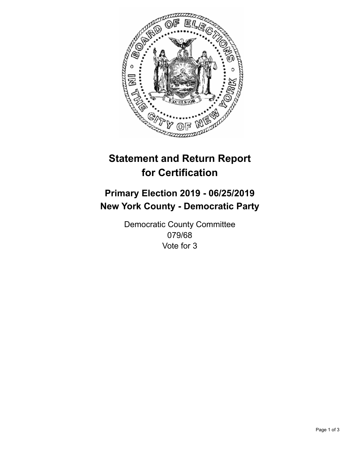

## **Statement and Return Report for Certification**

## **Primary Election 2019 - 06/25/2019 New York County - Democratic Party**

Democratic County Committee 079/68 Vote for 3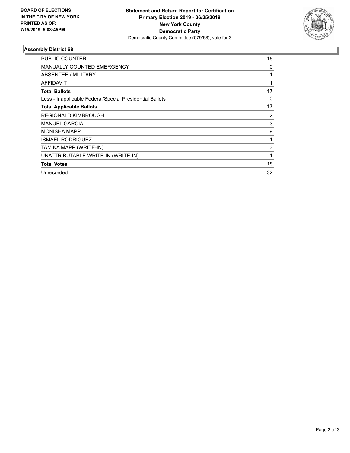

## **Assembly District 68**

| PUBLIC COUNTER                                           | 15 |
|----------------------------------------------------------|----|
| <b>MANUALLY COUNTED EMERGENCY</b>                        | 0  |
| ABSENTEE / MILITARY                                      |    |
| <b>AFFIDAVIT</b>                                         |    |
| <b>Total Ballots</b>                                     | 17 |
| Less - Inapplicable Federal/Special Presidential Ballots | 0  |
| <b>Total Applicable Ballots</b>                          | 17 |
| <b>REGIONALD KIMBROUGH</b>                               | 2  |
| <b>MANUEL GARCIA</b>                                     | 3  |
| <b>MONISHA MAPP</b>                                      | 9  |
| <b>ISMAEL RODRIGUEZ</b>                                  | 1  |
| TAMIKA MAPP (WRITE-IN)                                   | 3  |
| UNATTRIBUTABLE WRITE-IN (WRITE-IN)                       | 1  |
| <b>Total Votes</b>                                       | 19 |
| Unrecorded                                               | 32 |